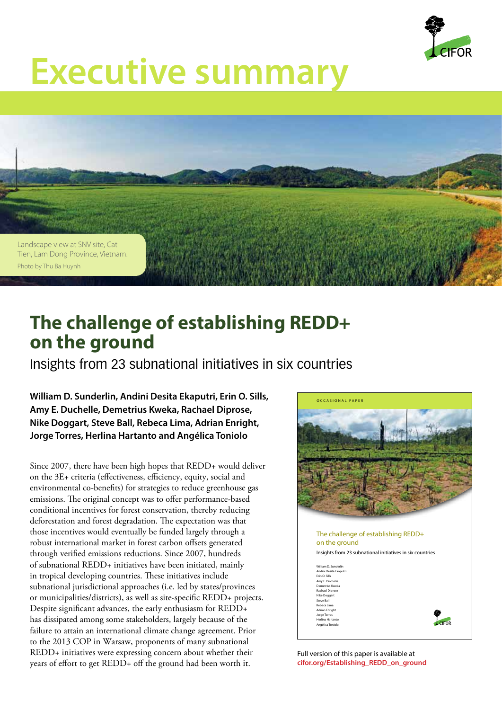

## **Executive summary**



## **The challenge of establishing REDD+ on the ground**

Insights from 23 subnational initiatives in six countries

**William D. Sunderlin, Andini Desita Ekaputri, Erin O. Sills, Amy E. Duchelle, Demetrius Kweka, Rachael Diprose, Nike Doggart, Steve Ball, Rebeca Lima, Adrian Enright, Jorge Torres, Herlina Hartanto and Angélica Toniolo**

Since 2007, there have been high hopes that REDD+ would deliver on the 3E+ criteria (effectiveness, efficiency, equity, social and environmental co-benefits) for strategies to reduce greenhouse gas emissions. The original concept was to offer performance-based conditional incentives for forest conservation, thereby reducing deforestation and forest degradation. The expectation was that those incentives would eventually be funded largely through a robust international market in forest carbon offsets generated through verified emissions reductions. Since 2007, hundreds of subnational REDD+ initiatives have been initiated, mainly in tropical developing countries. These initiatives include subnational jurisdictional approaches (i.e. led by states/provinces or municipalities/districts), as well as site‑specific REDD+ projects. Despite significant advances, the early enthusiasm for REDD+ has dissipated among some stakeholders, largely because of the failure to attain an international climate change agreement. Prior to the 2013 COP in Warsaw, proponents of many subnational REDD+ initiatives were expressing concern about whether their years of effort to get REDD+ off the ground had been worth it.



Full version of this paper is available at **[cifor.org/Establishing\\_REDD\\_on\\_ground](www.cifor.org/Establishing_REDD_on_ground)**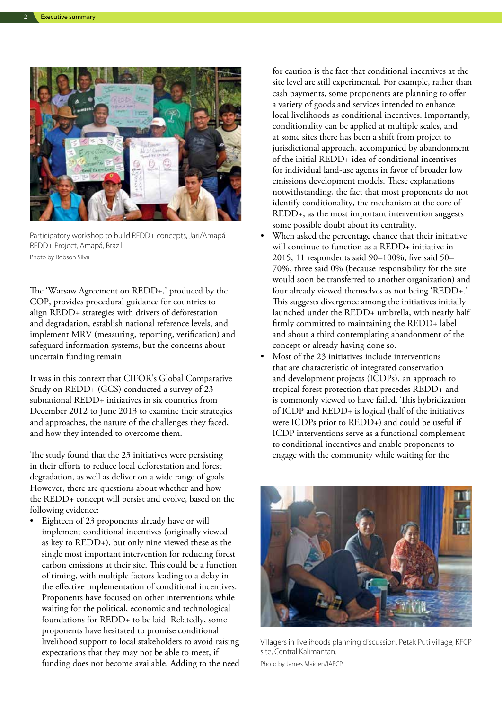

Participatory workshop to build REDD+ concepts, Jari/Amapá REDD+ Project, Amapá, Brazil. Photo by Robson Silva

The 'Warsaw Agreement on REDD+,' produced by the COP, provides procedural guidance for countries to align REDD+ strategies with drivers of deforestation and degradation, establish national reference levels, and implement MRV (measuring, reporting, verification) and safeguard information systems, but the concerns about uncertain funding remain.

It was in this context that CIFOR's Global Comparative Study on REDD+ (GCS) conducted a survey of 23 subnational REDD+ initiatives in six countries from December 2012 to June 2013 to examine their strategies and approaches, the nature of the challenges they faced, and how they intended to overcome them.

The study found that the 23 initiatives were persisting in their efforts to reduce local deforestation and forest degradation, as well as deliver on a wide range of goals. However, there are questions about whether and how the REDD+ concept will persist and evolve, based on the following evidence:

• Eighteen of 23 proponents already have or will implement conditional incentives (originally viewed as key to REDD+), but only nine viewed these as the single most important intervention for reducing forest carbon emissions at their site. This could be a function of timing, with multiple factors leading to a delay in the effective implementation of conditional incentives. Proponents have focused on other interventions while waiting for the political, economic and technological foundations for REDD+ to be laid. Relatedly, some proponents have hesitated to promise conditional livelihood support to local stakeholders to avoid raising expectations that they may not be able to meet, if funding does not become available. Adding to the need for caution is the fact that conditional incentives at the site level are still experimental. For example, rather than cash payments, some proponents are planning to offer a variety of goods and services intended to enhance local livelihoods as conditional incentives. Importantly, conditionality can be applied at multiple scales, and at some sites there has been a shift from project to jurisdictional approach, accompanied by abandonment of the initial REDD+ idea of conditional incentives for individual land‑use agents in favor of broader low emissions development models. These explanations notwithstanding, the fact that most proponents do not identify conditionality, the mechanism at the core of REDD+, as the most important intervention suggests some possible doubt about its centrality.

- When asked the percentage chance that their initiative will continue to function as a REDD+ initiative in 2015, 11 respondents said 90–100%, five said 50– 70%, three said 0% (because responsibility for the site would soon be transferred to another organization) and four already viewed themselves as not being 'REDD+.' This suggests divergence among the initiatives initially launched under the REDD+ umbrella, with nearly half firmly committed to maintaining the REDD+ label and about a third contemplating abandonment of the concept or already having done so.
- Most of the 23 initiatives include interventions that are characteristic of integrated conservation and development projects (ICDPs), an approach to tropical forest protection that precedes REDD+ and is commonly viewed to have failed. This hybridization of ICDP and REDD+ is logical (half of the initiatives were ICDPs prior to REDD+) and could be useful if ICDP interventions serve as a functional complement to conditional incentives and enable proponents to engage with the community while waiting for the



Villagers in livelihoods planning discussion, Petak Puti village, KFCP site, Central Kalimantan. Photo by James Maiden/IAFCP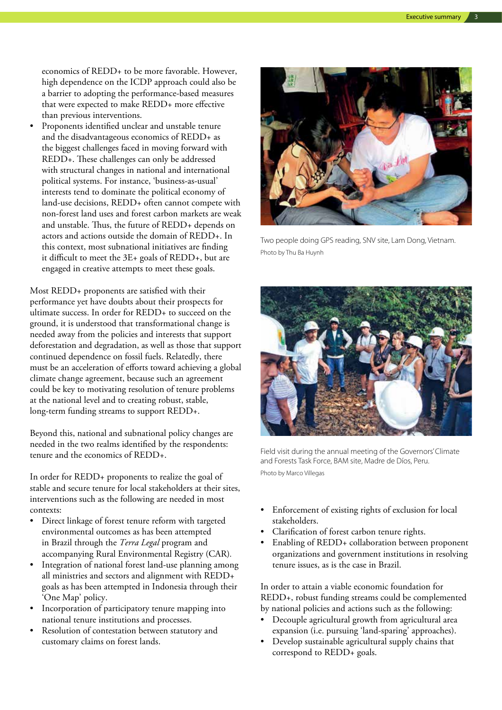economics of REDD+ to be more favorable. However, high dependence on the ICDP approach could also be a barrier to adopting the performance-based measures that were expected to make REDD+ more effective than previous interventions.

Proponents identified unclear and unstable tenure and the disadvantageous economics of REDD+ as the biggest challenges faced in moving forward with REDD+. These challenges can only be addressed with structural changes in national and international political systems. For instance, 'business‑as‑usual' interests tend to dominate the political economy of land‑use decisions, REDD+ often cannot compete with non‑forest land uses and forest carbon markets are weak and unstable. Thus, the future of REDD+ depends on actors and actions outside the domain of REDD+. In this context, most subnational initiatives are finding it difficult to meet the 3E+ goals of REDD+, but are engaged in creative attempts to meet these goals.

Most REDD+ proponents are satisfied with their performance yet have doubts about their prospects for ultimate success. In order for REDD+ to succeed on the ground, it is understood that transformational change is needed away from the policies and interests that support deforestation and degradation, as well as those that support continued dependence on fossil fuels. Relatedly, there must be an acceleration of efforts toward achieving a global climate change agreement, because such an agreement could be key to motivating resolution of tenure problems at the national level and to creating robust, stable, long-term funding streams to support REDD+.

Beyond this, national and subnational policy changes are needed in the two realms identified by the respondents: tenure and the economics of REDD+.

In order for REDD+ proponents to realize the goal of stable and secure tenure for local stakeholders at their sites, interventions such as the following are needed in most contexts:

- • Direct linkage of forest tenure reform with targeted environmental outcomes as has been attempted in Brazil through the *Terra Legal* program and accompanying Rural Environmental Registry (CAR)*.*
- Integration of national forest land-use planning among all ministries and sectors and alignment with REDD+ goals as has been attempted in Indonesia through their 'One Map' policy.
- • Incorporation of participatory tenure mapping into national tenure institutions and processes.
- Resolution of contestation between statutory and customary claims on forest lands.



Two people doing GPS reading, SNV site, Lam Dong, Vietnam. Photo by Thu Ba Huynh



Field visit during the annual meeting of the Governors' Climate and Forests Task Force, BAM site, Madre de Díos, Peru. Photo by Marco Villegas

- Enforcement of existing rights of exclusion for local stakeholders.
- • Clarification of forest carbon tenure rights.
- Enabling of REDD+ collaboration between proponent organizations and government institutions in resolving tenure issues, as is the case in Brazil.

In order to attain a viable economic foundation for REDD+, robust funding streams could be complemented by national policies and actions such as the following:

- Decouple agricultural growth from agricultural area expansion (i.e. pursuing 'land‑sparing' approaches).
- Develop sustainable agricultural supply chains that correspond to REDD+ goals.